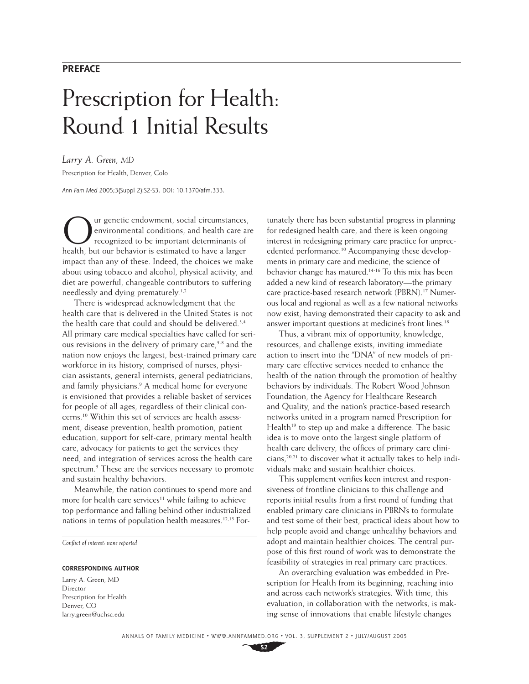# **PREFACE**

# Prescription for Health: Round 1 Initial Results

*Larry A. Green, MD* Prescription for Health, Denver, Colo

*Ann Fam Med* 2005;3(Suppl 2):S2-S3. DOI: 10.1370/afm.333.

ur genetic endowment, social circumstances, environmental conditions, and health care are recognized to be important determinants of health, but our behavior is estimated to have a larger impact than any of these. Indeed, the choices we make about using tobacco and alcohol, physical activity, and diet are powerful, changeable contributors to suffering needlessly and dying prematurely.<sup>1,2</sup>

There is widespread acknowledgment that the health care that is delivered in the United States is not the health care that could and should be delivered.<sup>3,4</sup> All primary care medical specialties have called for serious revisions in the delivery of primary care, $5-8$  and the nation now enjoys the largest, best-trained primary care workforce in its history, comprised of nurses, physician assistants, general internists, general pediatricians, and family physicians.<sup>9</sup> A medical home for everyone is envisioned that provides a reliable basket of services for people of all ages, regardless of their clinical concerns.10 Within this set of services are health assessment, disease prevention, health promotion, patient education, support for self-care, primary mental health care, advocacy for patients to get the services they need, and integration of services across the health care spectrum.<sup>5</sup> These are the services necessary to promote and sustain healthy behaviors.

Meanwhile, the nation continues to spend more and more for health care services<sup>11</sup> while failing to achieve top performance and falling behind other industrialized nations in terms of population health measures.12,13 For-

*Conflict of interest: none reported* 

#### **CORRESPONDING AUTHOR**

Larry A. Green, MD Director Prescription for Health Denver, CO larry.green@uchsc.edu

tunately there has been substantial progress in planning for redesigned health care, and there is keen ongoing interest in redesigning primary care practice for unprecedented performance.<sup>10</sup> Accompanying these developments in primary care and medicine, the science of behavior change has matured.14-16 To this mix has been added a new kind of research laboratory—the primary care practice-based research network (PBRN).<sup>17</sup> Numerous local and regional as well as a few national networks now exist, having demonstrated their capacity to ask and answer important questions at medicine's front lines.<sup>18</sup>

Thus, a vibrant mix of opportunity, knowledge, resources, and challenge exists, inviting immediate action to insert into the "DNA" of new models of primary care effective services needed to enhance the health of the nation through the promotion of healthy behaviors by individuals. The Robert Wood Johnson Foundation, the Agency for Healthcare Research and Quality, and the nation's practice-based research networks united in a program named Prescription for Health<sup>19</sup> to step up and make a difference. The basic idea is to move onto the largest single platform of health care delivery, the offices of primary care clinicians, $20,21$  to discover what it actually takes to help individuals make and sustain healthier choices.

This supplement verifies keen interest and responsiveness of frontline clinicians to this challenge and reports initial results from a first round of funding that enabled primary care clinicians in PBRN's to formulate and test some of their best, practical ideas about how to help people avoid and change unhealthy behaviors and adopt and maintain healthier choices. The central purpose of this first round of work was to demonstrate the feasibility of strategies in real primary care practices.

An overarching evaluation was embedded in Prescription for Health from its beginning, reaching into and across each network's strategies. With time, this evaluation, in collaboration with the networks, is making sense of innovations that enable lifestyle changes

**S2**